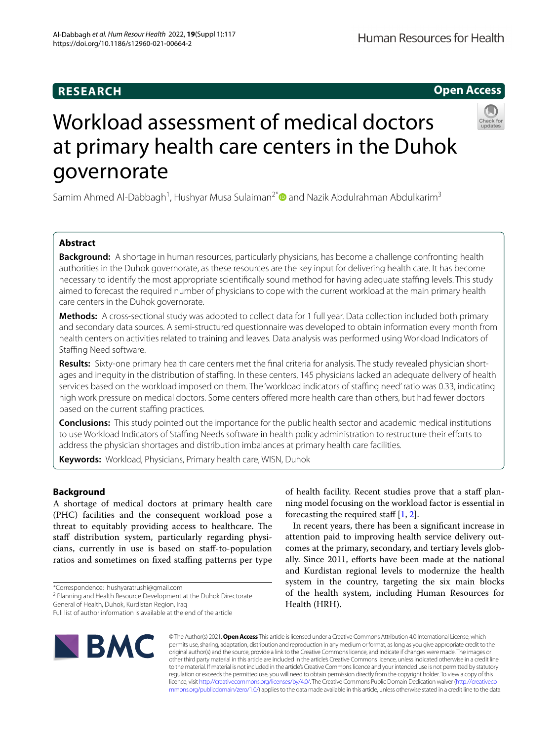# **Open Access**



# Workload assessment of medical doctors at primary health care centers in the Duhok governorate

Samim Ahmed Al-Dabbagh<sup>1</sup>, Hushyar Musa Sulaiman<sup>2[\\*](http://orcid.org/0000-0001-8310-9076)</sup> and Nazik Abdulrahman Abdulkarim<sup>3</sup>

# **Abstract**

**Background:** A shortage in human resources, particularly physicians, has become a challenge confronting health authorities in the Duhok governorate, as these resources are the key input for delivering health care. It has become necessary to identify the most appropriate scientifcally sound method for having adequate stafng levels. This study aimed to forecast the required number of physicians to cope with the current workload at the main primary health care centers in the Duhok governorate.

**Methods:** A cross-sectional study was adopted to collect data for 1 full year. Data collection included both primary and secondary data sources. A semi-structured questionnaire was developed to obtain information every month from health centers on activities related to training and leaves. Data analysis was performed using Workload Indicators of Stafng Need software.

**Results:** Sixty-one primary health care centers met the fnal criteria for analysis. The study revealed physician short‑ ages and inequity in the distribution of staffing. In these centers, 145 physicians lacked an adequate delivery of health services based on the workload imposed on them. The 'workload indicators of staffing need' ratio was 0.33, indicating high work pressure on medical doctors. Some centers ofered more health care than others, but had fewer doctors based on the current staffing practices.

**Conclusions:** This study pointed out the importance for the public health sector and academic medical institutions to use Workload Indicators of Staffing Needs software in health policy administration to restructure their efforts to address the physician shortages and distribution imbalances at primary health care facilities.

**Keywords:** Workload, Physicians, Primary health care, WISN, Duhok

# **Background**

A shortage of medical doctors at primary health care (PHC) facilities and the consequent workload pose a threat to equitably providing access to healthcare. The staff distribution system, particularly regarding physicians, currently in use is based on staf-to-population ratios and sometimes on fxed stafng patterns per type

<sup>2</sup> Planning and Health Resource Development at the Duhok Directorate

General of Health, Duhok, Kurdistan Region, Iraq

Full list of author information is available at the end of the article



of health facility. Recent studies prove that a staff planning model focusing on the workload factor is essential in forecasting the required staff  $[1, 2]$  $[1, 2]$  $[1, 2]$  $[1, 2]$ .

In recent years, there has been a signifcant increase in attention paid to improving health service delivery outcomes at the primary, secondary, and tertiary levels globally. Since 2011, efforts have been made at the national and Kurdistan regional levels to modernize the health system in the country, targeting the six main blocks of the health system, including Human Resources for Health (HRH).

© The Author(s) 2021. **Open Access** This article is licensed under a Creative Commons Attribution 4.0 International License, which permits use, sharing, adaptation, distribution and reproduction in any medium or format, as long as you give appropriate credit to the original author(s) and the source, provide a link to the Creative Commons licence, and indicate if changes were made. The images or other third party material in this article are included in the article's Creative Commons licence, unless indicated otherwise in a credit line to the material. If material is not included in the article's Creative Commons licence and your intended use is not permitted by statutory regulation or exceeds the permitted use, you will need to obtain permission directly from the copyright holder. To view a copy of this licence, visit [http://creativecommons.org/licenses/by/4.0/.](http://creativecommons.org/licenses/by/4.0/) The Creative Commons Public Domain Dedication waiver ([http://creativeco](http://creativecommons.org/publicdomain/zero/1.0/) [mmons.org/publicdomain/zero/1.0/](http://creativecommons.org/publicdomain/zero/1.0/)) applies to the data made available in this article, unless otherwise stated in a credit line to the data.

<sup>\*</sup>Correspondence: hushyaratrushi@gmail.com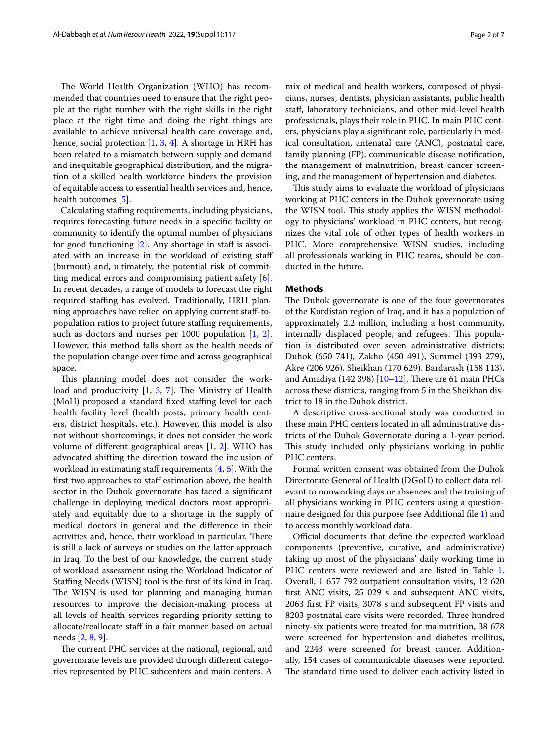The World Health Organization (WHO) has recommended that countries need to ensure that the right people at the right number with the right skills in the right place at the right time and doing the right things are available to achieve universal health care coverage and, hence, social protection [[1,](#page-5-0) [3,](#page-5-2) [4\]](#page-5-3). A shortage in HRH has been related to a mismatch between supply and demand and inequitable geographical distribution, and the migration of a skilled health workforce hinders the provision of equitable access to essential health services and, hence, health outcomes [[5\]](#page-5-4).

Calculating staffing requirements, including physicians, requires forecasting future needs in a specifc facility or community to identify the optimal number of physicians for good functioning  $[2]$  $[2]$ . Any shortage in staff is associated with an increase in the workload of existing staf (burnout) and, ultimately, the potential risk of committing medical errors and compromising patient safety [\[6](#page-5-5)]. In recent decades, a range of models to forecast the right required stafng has evolved. Traditionally, HRH planning approaches have relied on applying current staf-topopulation ratios to project future stafng requirements, such as doctors and nurses per 1000 population [\[1](#page-5-0), [2](#page-5-1)]. However, this method falls short as the health needs of the population change over time and across geographical space.

This planning model does not consider the workload and productivity  $[1, 3, 7]$  $[1, 3, 7]$  $[1, 3, 7]$  $[1, 3, 7]$  $[1, 3, 7]$  $[1, 3, 7]$  $[1, 3, 7]$ . The Ministry of Health (MoH) proposed a standard fixed staffing level for each health facility level (health posts, primary health centers, district hospitals, etc.). However, this model is also not without shortcomings; it does not consider the work volume of diferent geographical areas [[1](#page-5-0), [2](#page-5-1)]. WHO has advocated shifting the direction toward the inclusion of workload in estimating staff requirements  $[4, 5]$  $[4, 5]$  $[4, 5]$ . With the frst two approaches to staf estimation above, the health sector in the Duhok governorate has faced a signifcant challenge in deploying medical doctors most appropriately and equitably due to a shortage in the supply of medical doctors in general and the diference in their activities and, hence, their workload in particular. There is still a lack of surveys or studies on the latter approach in Iraq. To the best of our knowledge, the current study of workload assessment using the Workload Indicator of Staffing Needs (WISN) tool is the first of its kind in Iraq. The WISN is used for planning and managing human resources to improve the decision-making process at all levels of health services regarding priority setting to allocate/reallocate staf in a fair manner based on actual needs [[2,](#page-5-1) [8](#page-5-7), [9\]](#page-5-8).

The current PHC services at the national, regional, and governorate levels are provided through diferent categories represented by PHC subcenters and main centers. A mix of medical and health workers, composed of physicians, nurses, dentists, physician assistants, public health staf, laboratory technicians, and other mid-level health professionals, plays their role in PHC. In main PHC centers, physicians play a signifcant role, particularly in medical consultation, antenatal care (ANC), postnatal care, family planning (FP), communicable disease notifcation, the management of malnutrition, breast cancer screening, and the management of hypertension and diabetes.

This study aims to evaluate the workload of physicians working at PHC centers in the Duhok governorate using the WISN tool. This study applies the WISN methodology to physicians' workload in PHC centers, but recognizes the vital role of other types of health workers in PHC. More comprehensive WISN studies, including all professionals working in PHC teams, should be conducted in the future.

# **Methods**

The Duhok governorate is one of the four governorates of the Kurdistan region of Iraq, and it has a population of approximately 2.2 million, including a host community, internally displaced people, and refugees. This population is distributed over seven administrative districts: Duhok (650 741), Zakho (450 491), Summel (393 279), Akre (206 926), Sheikhan (170 629), Bardarash (158 113), and Amadiya (142 398)  $[10-12]$  $[10-12]$ . There are 61 main PHCs across these districts, ranging from 5 in the Sheikhan district to 18 in the Duhok district.

A descriptive cross-sectional study was conducted in these main PHC centers located in all administrative districts of the Duhok Governorate during a 1-year period. This study included only physicians working in public PHC centers.

Formal written consent was obtained from the Duhok Directorate General of Health (DGoH) to collect data relevant to nonworking days or absences and the training of all physicians working in PHC centers using a questionnaire designed for this purpose (see Additional fle [1\)](#page-5-11) and to access monthly workload data.

Official documents that define the expected workload components (preventive, curative, and administrative) taking up most of the physicians' daily working time in PHC centers were reviewed and are listed in Table [1](#page-2-0). Overall, 1 657 792 outpatient consultation visits, 12 620 frst ANC visits, 25 029 s and subsequent ANC visits, 2063 frst FP visits, 3078 s and subsequent FP visits and 8203 postnatal care visits were recorded. Three hundred ninety-six patients were treated for malnutrition, 38 678 were screened for hypertension and diabetes mellitus, and 2243 were screened for breast cancer. Additionally, 154 cases of communicable diseases were reported. The standard time used to deliver each activity listed in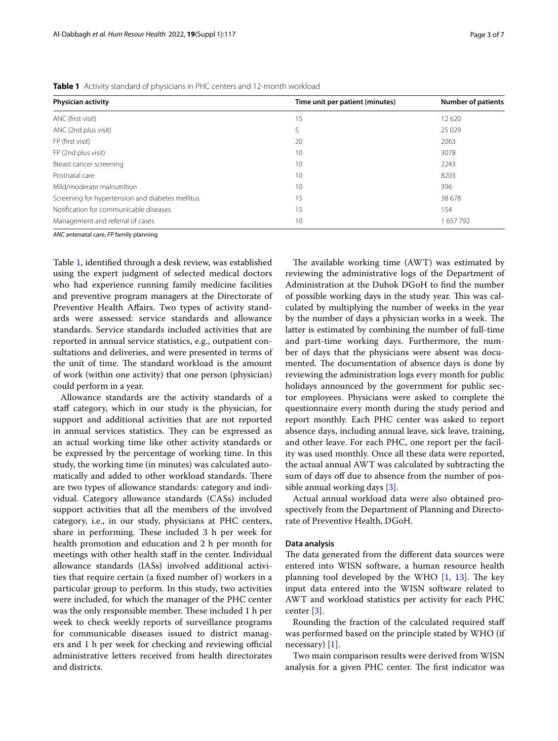<span id="page-2-0"></span>**Table 1** Activity standard of physicians in PHC centers and 12-month workload

| <b>Physician activity</b>                        | <b>Number of patients</b><br>Time unit per patient (minutes) |         |  |  |
|--------------------------------------------------|--------------------------------------------------------------|---------|--|--|
| ANC (first visit)                                | 15                                                           | 12620   |  |  |
| ANC (2nd plus visit)                             | 5                                                            | 25 0 29 |  |  |
| FP (first visit)                                 | 20                                                           | 2063    |  |  |
| FP (2nd plus visit)                              | 10                                                           | 3078    |  |  |
| Breast cancer screening                          | 10                                                           | 2243    |  |  |
| Postnatal care                                   | 10                                                           | 8203    |  |  |
| Mild/moderate malnutrition                       | 10                                                           | 396     |  |  |
| Screening for hypertension and diabetes mellitus | 15                                                           | 38 678  |  |  |
| Notification for communicable diseases           | 15                                                           | 154     |  |  |
| Management and referral of cases                 | 10                                                           | 657792  |  |  |

*ANC* antenatal care, *FP* family planning

Table [1](#page-2-0), identifed through a desk review, was established using the expert judgment of selected medical doctors who had experience running family medicine facilities and preventive program managers at the Directorate of Preventive Health Afairs. Two types of activity standards were assessed: service standards and allowance standards. Service standards included activities that are reported in annual service statistics, e.g., outpatient consultations and deliveries, and were presented in terms of the unit of time. The standard workload is the amount of work (within one activity) that one person (physician) could perform in a year.

Allowance standards are the activity standards of a staff category, which in our study is the physician, for support and additional activities that are not reported in annual services statistics. They can be expressed as an actual working time like other activity standards or be expressed by the percentage of working time. In this study, the working time (in minutes) was calculated automatically and added to other workload standards. There are two types of allowance standards: category and individual. Category allowance standards (CASs) included support activities that all the members of the involved category, i.e., in our study, physicians at PHC centers, share in performing. These included 3 h per week for health promotion and education and 2 h per month for meetings with other health staff in the center. Individual allowance standards (IASs) involved additional activities that require certain (a fxed number of) workers in a particular group to perform. In this study, two activities were included, for which the manager of the PHC center was the only responsible member. These included 1 h per week to check weekly reports of surveillance programs for communicable diseases issued to district managers and 1 h per week for checking and reviewing official administrative letters received from health directorates and districts.

The available working time  $(AWT)$  was estimated by reviewing the administrative logs of the Department of Administration at the Duhok DGoH to fnd the number of possible working days in the study year. This was calculated by multiplying the number of weeks in the year by the number of days a physician works in a week. The latter is estimated by combining the number of full-time and part-time working days. Furthermore, the number of days that the physicians were absent was documented. The documentation of absence days is done by reviewing the administration logs every month for public holidays announced by the government for public sector employees. Physicians were asked to complete the questionnaire every month during the study period and report monthly. Each PHC center was asked to report absence days, including annual leave, sick leave, training, and other leave. For each PHC, one report per the facility was used monthly. Once all these data were reported, the actual annual AWT was calculated by subtracting the sum of days off due to absence from the number of possible annual working days [[3\]](#page-5-2).

Actual annual workload data were also obtained prospectively from the Department of Planning and Directorate of Preventive Health, DGoH.

## **Data analysis**

The data generated from the different data sources were entered into WISN software, a human resource health planning tool developed by the WHO  $[1, 13]$  $[1, 13]$  $[1, 13]$  $[1, 13]$ . The key input data entered into the WISN software related to AWT and workload statistics per activity for each PHC center [[3\]](#page-5-2).

Rounding the fraction of the calculated required staf was performed based on the principle stated by WHO (if necessary) [[1\]](#page-5-0).

Two main comparison results were derived from WISN analysis for a given PHC center. The first indicator was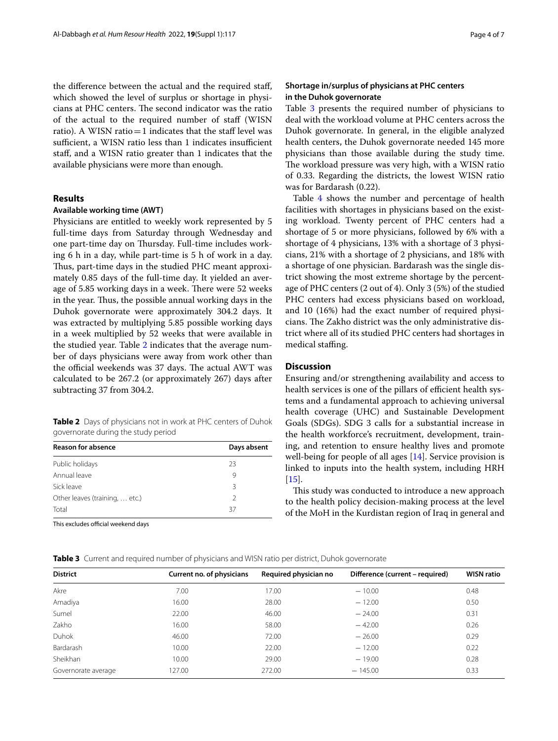the diference between the actual and the required staf, which showed the level of surplus or shortage in physicians at PHC centers. The second indicator was the ratio of the actual to the required number of staf (WISN ratio). A WISN ratio $=1$  indicates that the staff level was sufficient, a WISN ratio less than 1 indicates insufficient staf, and a WISN ratio greater than 1 indicates that the available physicians were more than enough.

# **Results**

# **Available working time (AWT)**

Physicians are entitled to weekly work represented by 5 full-time days from Saturday through Wednesday and one part-time day on Thursday. Full-time includes working 6 h in a day, while part-time is 5 h of work in a day. Thus, part-time days in the studied PHC meant approximately 0.85 days of the full-time day. It yielded an average of 5.85 working days in a week. There were 52 weeks in the year. Thus, the possible annual working days in the Duhok governorate were approximately 304.2 days. It was extracted by multiplying 5.85 possible working days in a week multiplied by 52 weeks that were available in the studied year. Table [2](#page-3-0) indicates that the average number of days physicians were away from work other than the official weekends was 37 days. The actual AWT was calculated to be 267.2 (or approximately 267) days after subtracting 37 from 304.2.

<span id="page-3-0"></span>**Table 2** Days of physicians not in work at PHC centers of Duhok governorate during the study period

| <b>Reason for absence</b>      | Days absent   |
|--------------------------------|---------------|
| Public holidays                | 23            |
| Annual leave                   | 9             |
| Sick leave                     | ζ             |
| Other leaves (training,  etc.) | $\mathcal{L}$ |
| Total                          | 37            |

This excludes official weekend days

# **Shortage in/surplus of physicians at PHC centers in the Duhok governorate**

Table [3](#page-3-1) presents the required number of physicians to deal with the workload volume at PHC centers across the Duhok governorate. In general, in the eligible analyzed health centers, the Duhok governorate needed 145 more physicians than those available during the study time. The workload pressure was very high, with a WISN ratio of 0.33. Regarding the districts, the lowest WISN ratio was for Bardarash (0.22).

Table [4](#page-4-0) shows the number and percentage of health facilities with shortages in physicians based on the existing workload. Twenty percent of PHC centers had a shortage of 5 or more physicians, followed by 6% with a shortage of 4 physicians, 13% with a shortage of 3 physicians, 21% with a shortage of 2 physicians, and 18% with a shortage of one physician. Bardarash was the single district showing the most extreme shortage by the percentage of PHC centers (2 out of 4). Only 3 (5%) of the studied PHC centers had excess physicians based on workload, and 10 (16%) had the exact number of required physicians. The Zakho district was the only administrative district where all of its studied PHC centers had shortages in medical staffing.

# **Discussion**

Ensuring and/or strengthening availability and access to health services is one of the pillars of efficient health systems and a fundamental approach to achieving universal health coverage (UHC) and Sustainable Development Goals (SDGs). SDG 3 calls for a substantial increase in the health workforce's recruitment, development, training, and retention to ensure healthy lives and promote well-being for people of all ages [[14\]](#page-6-0). Service provision is linked to inputs into the health system, including HRH  $[15]$  $[15]$ .

This study was conducted to introduce a new approach to the health policy decision-making process at the level of the MoH in the Kurdistan region of Iraq in general and

<span id="page-3-1"></span>

|  |  |  |  |  | Table 3 Current and required number of physicians and WISN ratio per district, Duhok governorate |
|--|--|--|--|--|--------------------------------------------------------------------------------------------------|
|--|--|--|--|--|--------------------------------------------------------------------------------------------------|

| <b>District</b>     | Current no. of physicians | Required physician no | Difference (current – required) | <b>WISN ratio</b> |
|---------------------|---------------------------|-----------------------|---------------------------------|-------------------|
| Akre                | 7.00                      | 17.00                 | $-10.00$                        | 0.48              |
| Amadiya             | 16.00                     | 28.00                 | $-12.00$                        | 0.50              |
| Sumel               | 22.00                     | 46.00                 | $-24.00$                        | 0.31              |
| Zakho               | 16.00                     | 58.00                 | $-42.00$                        | 0.26              |
| Duhok               | 46.00                     | 72.00                 | $-26.00$                        | 0.29              |
| Bardarash           | 10.00                     | 22.00                 | $-12.00$                        | 0.22              |
| Sheikhan            | 10.00                     | 29.00                 | $-19.00$                        | 0.28              |
| Governorate average | 127.00                    | 272.00                | $-145.00$                       | 0.33              |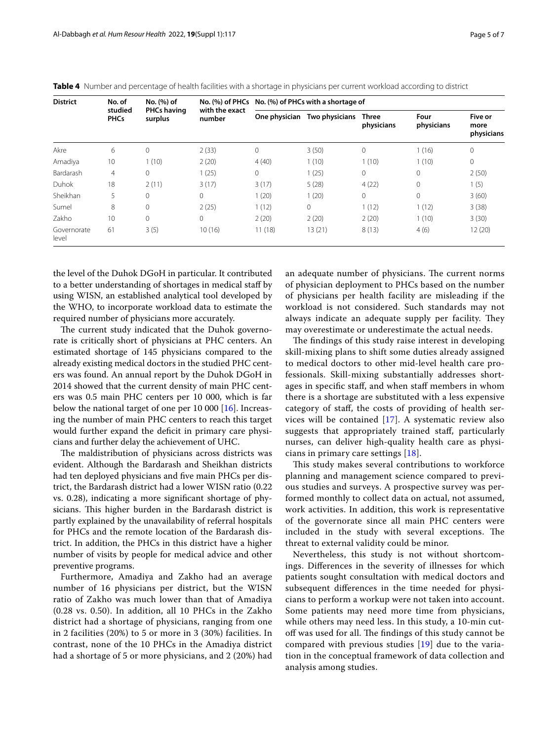| <b>District</b>      | No. of<br>studied<br><b>PHCs</b> | No. (%) of<br><b>PHCs having</b><br>surplus | with the exact<br>number | No. (%) of PHCs No. (%) of PHCs with a shortage of |                |                     |                    |                               |
|----------------------|----------------------------------|---------------------------------------------|--------------------------|----------------------------------------------------|----------------|---------------------|--------------------|-------------------------------|
|                      |                                  |                                             |                          | One physician                                      | Two physicians | Three<br>physicians | Four<br>physicians | Five or<br>more<br>physicians |
| Akre                 | 6                                | $\mathbf{0}$                                | 2(33)                    | $\mathbf{0}$                                       | 3(50)          | $\mathbf{0}$        | 1(16)              | $\mathbf{0}$                  |
| Amadiya              | 10                               | 1(10)                                       | 2(20)                    | 4(40)                                              | 1(10)          | 1(10)               | 1(10)              | 0                             |
| Bardarash            | $\overline{4}$                   | $\circ$                                     | 1(25)                    | $\mathbf{0}$                                       | 1(25)          | $\mathbf{0}$        | 0                  | 2(50)                         |
| Duhok                | 18                               | 2(11)                                       | 3(17)                    | 3(17)                                              | 5(28)          | 4(22)               | $\mathbf{0}$       | 1(5)                          |
| Sheikhan             | 5                                | $\Omega$                                    | $\mathbf{0}$             | 1(20)                                              | 1(20)          | $\mathbf{0}$        | 0                  | 3(60)                         |
| Sumel                | 8                                | $\Omega$                                    | 2(25)                    | 1(12)                                              | 0              | 1(12)               | 1(12)              | 3(38)                         |
| Zakho                | 10                               | $\Omega$                                    | $\mathbf{0}$             | 2(20)                                              | 2(20)          | 2(20)               | 1(10)              | 3(30)                         |
| Governorate<br>level | 61                               | 3(5)                                        | 10(16)                   | 11(18)                                             | 13(21)         | 8(13)               | 4(6)               | 12 (20)                       |

<span id="page-4-0"></span>

|  |  |  |  |  |  | Table 4 Number and percentage of health facilities with a shortage in physicians per current workload according to district |  |
|--|--|--|--|--|--|-----------------------------------------------------------------------------------------------------------------------------|--|
|--|--|--|--|--|--|-----------------------------------------------------------------------------------------------------------------------------|--|

the level of the Duhok DGoH in particular. It contributed to a better understanding of shortages in medical staf by using WISN, an established analytical tool developed by the WHO, to incorporate workload data to estimate the required number of physicians more accurately.

The current study indicated that the Duhok governorate is critically short of physicians at PHC centers. An estimated shortage of 145 physicians compared to the already existing medical doctors in the studied PHC centers was found. An annual report by the Duhok DGoH in 2014 showed that the current density of main PHC centers was 0.5 main PHC centers per 10 000, which is far below the national target of one per 10 000 [\[16\]](#page-6-2). Increasing the number of main PHC centers to reach this target would further expand the deficit in primary care physicians and further delay the achievement of UHC.

The maldistribution of physicians across districts was evident. Although the Bardarash and Sheikhan districts had ten deployed physicians and fve main PHCs per district, the Bardarash district had a lower WISN ratio (0.22 vs. 0.28), indicating a more signifcant shortage of physicians. This higher burden in the Bardarash district is partly explained by the unavailability of referral hospitals for PHCs and the remote location of the Bardarash district. In addition, the PHCs in this district have a higher number of visits by people for medical advice and other preventive programs.

Furthermore, Amadiya and Zakho had an average number of 16 physicians per district, but the WISN ratio of Zakho was much lower than that of Amadiya (0.28 vs. 0.50). In addition, all 10 PHCs in the Zakho district had a shortage of physicians, ranging from one in 2 facilities (20%) to 5 or more in 3 (30%) facilities. In contrast, none of the 10 PHCs in the Amadiya district had a shortage of 5 or more physicians, and 2 (20%) had

an adequate number of physicians. The current norms of physician deployment to PHCs based on the number of physicians per health facility are misleading if the workload is not considered. Such standards may not always indicate an adequate supply per facility. They may overestimate or underestimate the actual needs.

The findings of this study raise interest in developing skill-mixing plans to shift some duties already assigned to medical doctors to other mid-level health care professionals. Skill-mixing substantially addresses shortages in specifc staf, and when staf members in whom there is a shortage are substituted with a less expensive category of staf, the costs of providing of health services will be contained [\[17\]](#page-6-3). A systematic review also suggests that appropriately trained staf, particularly nurses, can deliver high-quality health care as physicians in primary care settings [\[18](#page-6-4)].

This study makes several contributions to workforce planning and management science compared to previous studies and surveys. A prospective survey was performed monthly to collect data on actual, not assumed, work activities. In addition, this work is representative of the governorate since all main PHC centers were included in the study with several exceptions. The threat to external validity could be minor.

Nevertheless, this study is not without shortcomings. Diferences in the severity of illnesses for which patients sought consultation with medical doctors and subsequent diferences in the time needed for physicians to perform a workup were not taken into account. Some patients may need more time from physicians, while others may need less. In this study, a 10-min cutoff was used for all. The findings of this study cannot be compared with previous studies [[19](#page-6-5)] due to the variation in the conceptual framework of data collection and analysis among studies.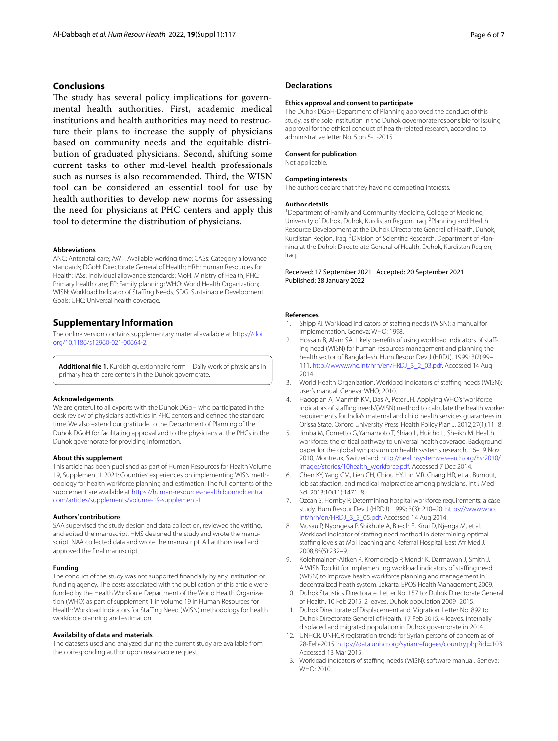# **Conclusions**

The study has several policy implications for governmental health authorities. First, academic medical institutions and health authorities may need to restructure their plans to increase the supply of physicians based on community needs and the equitable distribution of graduated physicians. Second, shifting some current tasks to other mid-level health professionals such as nurses is also recommended. Third, the WISN tool can be considered an essential tool for use by health authorities to develop new norms for assessing the need for physicians at PHC centers and apply this tool to determine the distribution of physicians.

#### **Abbreviations**

ANC: Antenatal care; AWT: Available working time; CASs: Category allowance standards; DGoH: Directorate General of Health; HRH: Human Resources for Health; IASs: Individual allowance standards; MoH: Ministry of Health; PHC: Primary health care; FP: Family planning; WHO: World Health Organization; WISN: Workload Indicator of Stafng Needs; SDG: Sustainable Development Goals; UHC: Universal health coverage.

## **Supplementary Information**

The online version contains supplementary material available at [https://doi.](https://doi.org/10.1186/s12960-021-00664-2) [org/10.1186/s12960-021-00664-2](https://doi.org/10.1186/s12960-021-00664-2).

<span id="page-5-11"></span>**Additional fle 1.** Kurdish questionnaire form—Daily work of physicians in primary health care centers in the Duhok governorate.

#### **Acknowledgements**

We are grateful to all experts with the Duhok DGoH who participated in the desk review of physicians' activities in PHC centers and defned the standard time. We also extend our gratitude to the Department of Planning of the Duhok DGoH for facilitating approval and to the physicians at the PHCs in the Duhok governorate for providing information.

#### **About this supplement**

This article has been published as part of Human Resources for Health Volume 19, Supplement 1 2021: Countries' experiences on implementing WISN meth‑ odology for health workforce planning and estimation. The full contents of the supplement are available at [https://human-resources-health.biomedcentral.](https://human-resources-health.biomedcentral.com/articles/supplements/volume-19-supplement-1) [com/articles/supplements/volume-19-supplement-1](https://human-resources-health.biomedcentral.com/articles/supplements/volume-19-supplement-1).

#### **Authors' contributions**

SAA supervised the study design and data collection, reviewed the writing, and edited the manuscript. HMS designed the study and wrote the manuscript. NAA collected data and wrote the manuscript. All authors read and approved the fnal manuscript.

#### **Funding**

The conduct of the study was not supported fnancially by any institution or funding agency. The costs associated with the publication of this article were funded by the Health Workforce Department of the World Health Organization (WHO) as part of supplement 1 in Volume 19 in Human Resources for Health: Workload Indicators for Staffing Need (WISN) methodology for health workforce planning and estimation.

#### **Availability of data and materials**

The datasets used and analyzed during the current study are available from the corresponding author upon reasonable request.

## **Declarations**

#### **Ethics approval and consent to participate**

The Duhok DGoH-Department of Planning approved the conduct of this study, as the sole institution in the Duhok governorate responsible for issuing approval for the ethical conduct of health-related research, according to administrative letter No. 5 on 5-1-2015.

## **Consent for publication**

Not applicable.

#### **Competing interests**

The authors declare that they have no competing interests.

#### **Author details**

<sup>1</sup> Department of Family and Community Medicine, College of Medicine, University of Duhok, Duhok, Kurdistan Region, Iraq. <sup>2</sup> Planning and Health Resource Development at the Duhok Directorate General of Health, Duhok, Kurdistan Region, Iraq. <sup>3</sup> Division of Scientific Research, Department of Planning at the Duhok Directorate General of Health, Duhok, Kurdistan Region, Iraq.

### Received: 17 September 2021 Accepted: 20 September 2021 Published: 28 January 2022

#### **References**

- <span id="page-5-0"></span>1. Shipp PJ. Workload indicators of stafng needs (WISN): a manual for implementation. Geneva: WHO; 1998.
- <span id="page-5-1"></span>Hossain B, Alam SA. Likely benefits of using workload indicators of staffing need (WISN) for human resources management and planning the health sector of Bangladesh. Hum Resour Dev J (HRDJ). 1999; 3(2):99– 111. [http://www.who.int/hrh/en/HRDJ\\_3\\_2\\_03.pdf.](http://www.who.int/hrh/en/HRDJ_3_2_03.pdf) Accessed 14 Aug 2014.
- <span id="page-5-2"></span>3. World Health Organization. Workload indicators of staffing needs (WISN): user's manual. Geneva: WHO; 2010.
- <span id="page-5-3"></span>Hagopian A, Manmth KM, Das A, Peter JH. Applying WHO's 'workforce indicators of staffing needs'(WISN) method to calculate the health worker requirements for India's maternal and child health services guarantees in Orissa State, Oxford University Press. Health Policy Plan J. 2012;27(1):11–8.
- <span id="page-5-4"></span>5. Jimba M, Cometto G, Yamamoto T, Shiao L, Huicho L, Sheikh M. Health workforce: the critical pathway to universal health coverage. Background paper for the global symposium on health systems research, 16–19 Nov 2010, Montreux, Switzerland. [http://healthsystemsresearch.org/hsr2010/](http://healthsystemsresearch.org/hsr2010/images/stories/10health_workforce.pdf) [images/stories/10health\\_workforce.pdf.](http://healthsystemsresearch.org/hsr2010/images/stories/10health_workforce.pdf) Accessed 7 Dec 2014.
- <span id="page-5-5"></span>6. Chen KY, Yang CM, Lien CH, Chiou HY, Lin MR, Chang HR, et al. Burnout, job satisfaction, and medical malpractice among physicians. Int J Med Sci. 2013;10(11):1471–8.
- <span id="page-5-6"></span>7. Ozcan S, Hornby P. Determining hospital workforce requirements: a case study. Hum Resour Dev J (HRDJ). 1999; 3(3): 210–20. [https://www.who.](https://www.who.int/hrh/en/HRDJ_3_3_05.pdf) [int/hrh/en/HRDJ\\_3\\_3\\_05.pdf.](https://www.who.int/hrh/en/HRDJ_3_3_05.pdf) Accessed 14 Aug 2014.
- <span id="page-5-7"></span>8. Musau P, Nyongesa P, Shikhule A, Birech E, Kirui D, Njenga M, et al. Workload indicator of staffing need method in determining optimal staffing levels at Moi Teaching and Referral Hospital. East Afr Med J. 2008;85(5):232–9.
- <span id="page-5-8"></span>9. Kolehmainen-Aitken R, Kromoredjo P, Mendr K, Darmawan J, Smith J. A WISN Toolkit for implementing workload indicators of stafng need (WISN) to improve health workforce planning and management in decentralized heath system. Jakarta: EPOS Health Management; 2009.
- <span id="page-5-9"></span>10. Duhok Statistics Directorate. Letter No. 157 to: Duhok Directorate General of Health. 10 Feb 2015. 2 leaves. Duhok population 2009–2015.
- 11. Duhok Directorate of Displacement and Migration. Letter No. 892 to: Duhok Directorate General of Health. 17 Feb 2015. 4 leaves. Internally displaced and migrated population in Duhok governorate in 2014.
- <span id="page-5-10"></span>12. UNHCR. UNHCR registration trends for Syrian persons of concern as of 28-Feb-2015. [https://data.unhcr.org/syrianrefugees/country.php?id](https://data.unhcr.org/syrianrefugees/country.php?id=103)=103. Accessed 13 Mar 2015.
- <span id="page-5-12"></span>13. Workload indicators of staffing needs (WISN): software manual. Geneva: WHO; 2010.